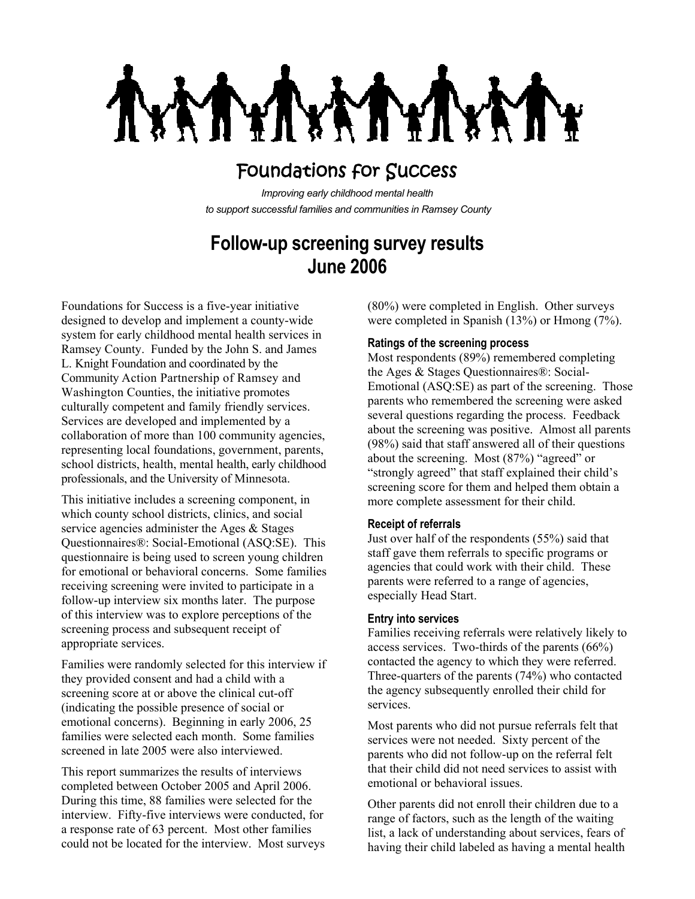**LAL** MY

# Foundations for Success

*Improving early childhood mental health to support successful families and communities in Ramsey County*

## **Follow-up screening survey results June 2006**

Foundations for Success is a five-year initiative designed to develop and implement a county-wide system for early childhood mental health services in Ramsey County. Funded by the John S. and James L. Knight Foundation and coordinated by the Community Action Partnership of Ramsey and Washington Counties, the initiative promotes culturally competent and family friendly services. Services are developed and implemented by a collaboration of more than 100 community agencies, representing local foundations, government, parents, school districts, health, mental health, early childhood professionals, and the University of Minnesota.

This initiative includes a screening component, in which county school districts, clinics, and social service agencies administer the Ages & Stages Questionnaires®: Social-Emotional (ASQ:SE). This questionnaire is being used to screen young children for emotional or behavioral concerns. Some families receiving screening were invited to participate in a follow-up interview six months later. The purpose of this interview was to explore perceptions of the screening process and subsequent receipt of appropriate services.

Families were randomly selected for this interview if they provided consent and had a child with a screening score at or above the clinical cut-off (indicating the possible presence of social or emotional concerns). Beginning in early 2006, 25 families were selected each month. Some families screened in late 2005 were also interviewed.

This report summarizes the results of interviews completed between October 2005 and April 2006. During this time, 88 families were selected for the interview. Fifty-five interviews were conducted, for a response rate of 63 percent. Most other families could not be located for the interview. Most surveys (80%) were completed in English. Other surveys were completed in Spanish (13%) or Hmong (7%).

## **Ratings of the screening process**

Most respondents (89%) remembered completing the Ages & Stages Questionnaires®: Social-Emotional (ASQ:SE) as part of the screening. Those parents who remembered the screening were asked several questions regarding the process. Feedback about the screening was positive. Almost all parents (98%) said that staff answered all of their questions about the screening. Most (87%) "agreed" or "strongly agreed" that staff explained their child's screening score for them and helped them obtain a more complete assessment for their child.

## **Receipt of referrals**

Just over half of the respondents (55%) said that staff gave them referrals to specific programs or agencies that could work with their child. These parents were referred to a range of agencies, especially Head Start.

#### **Entry into services**

Families receiving referrals were relatively likely to access services. Two-thirds of the parents (66%) contacted the agency to which they were referred. Three-quarters of the parents (74%) who contacted the agency subsequently enrolled their child for services.

Most parents who did not pursue referrals felt that services were not needed. Sixty percent of the parents who did not follow-up on the referral felt that their child did not need services to assist with emotional or behavioral issues.

Other parents did not enroll their children due to a range of factors, such as the length of the waiting list, a lack of understanding about services, fears of having their child labeled as having a mental health